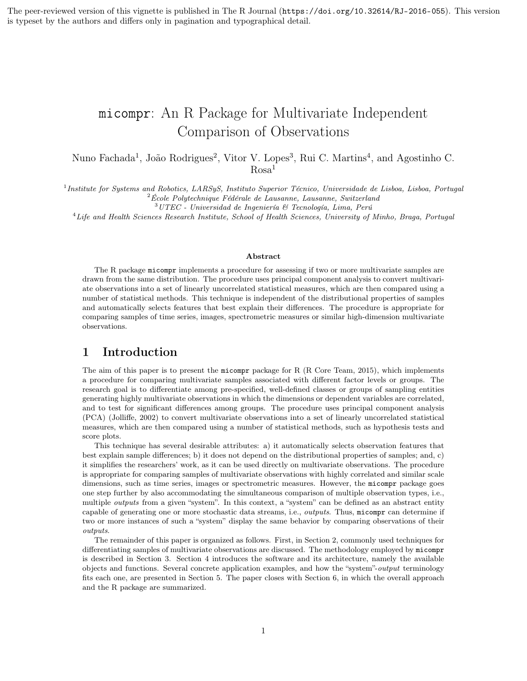The peer-reviewed version of this vignette is published in The R Journal (https://doi.org/10.32614/RJ-2016-055). This version is typeset by the authors and differs only in pagination and typographical detail.

# micompr: An R Package for Multivariate Independent Comparison of Observations

Nuno Fachada<sup>1</sup>, João Rodrigues<sup>2</sup>, Vitor V. Lopes<sup>3</sup>, Rui C. Martins<sup>4</sup>, and Agostinho C.  $Rosa<sup>1</sup>$ 

<sup>1</sup> Institute for Systems and Robotics, LARSyS, Instituto Superior Técnico, Universidade de Lisboa, Lisboa, Portugal  $2$ École Polytechnique Fédérale de Lausanne, Lausanne, Switzerland

 $^3\,UTEC$  - Universidad de Ingeniería  $\mathcal C$  Tecnología, Lima, Perú

<sup>4</sup>Life and Health Sciences Research Institute, School of Health Sciences, University of Minho, Braga, Portugal

#### Abstract

The R package micompr implements a procedure for assessing if two or more multivariate samples are drawn from the same distribution. The procedure uses principal component analysis to convert multivariate observations into a set of linearly uncorrelated statistical measures, which are then compared using a number of statistical methods. This technique is independent of the distributional properties of samples and automatically selects features that best explain their differences. The procedure is appropriate for comparing samples of time series, images, spectrometric measures or similar high-dimension multivariate observations.

# 1 Introduction

The aim of this paper is to present the micompr package for R (R Core Team, 2015), which implements a procedure for comparing multivariate samples associated with different factor levels or groups. The research goal is to differentiate among pre-specified, well-defined classes or groups of sampling entities generating highly multivariate observations in which the dimensions or dependent variables are correlated, and to test for significant differences among groups. The procedure uses principal component analysis (PCA) (Jolliffe, 2002) to convert multivariate observations into a set of linearly uncorrelated statistical measures, which are then compared using a number of statistical methods, such as hypothesis tests and score plots.

This technique has several desirable attributes: a) it automatically selects observation features that best explain sample differences; b) it does not depend on the distributional properties of samples; and, c) it simplifies the researchers' work, as it can be used directly on multivariate observations. The procedure is appropriate for comparing samples of multivariate observations with highly correlated and similar scale dimensions, such as time series, images or spectrometric measures. However, the micompr package goes one step further by also accommodating the simultaneous comparison of multiple observation types, i.e., multiple *outputs* from a given "system". In this context, a "system" can be defined as an abstract entity capable of generating one or more stochastic data streams, i.e., outputs. Thus, micompr can determine if two or more instances of such a "system" display the same behavior by comparing observations of their outputs.

The remainder of this paper is organized as follows. First, in Section 2, commonly used techniques for differentiating samples of multivariate observations are discussed. The methodology employed by micompr is described in Section 3. Section 4 introduces the software and its architecture, namely the available objects and functions. Several concrete application examples, and how the "system"-output terminology fits each one, are presented in Section 5. The paper closes with Section 6, in which the overall approach and the R package are summarized.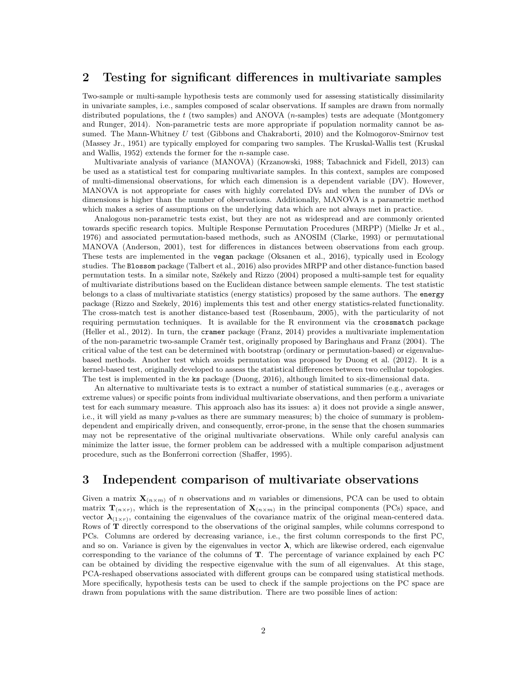# 2 Testing for significant differences in multivariate samples

Two-sample or multi-sample hypothesis tests are commonly used for assessing statistically dissimilarity in univariate samples, i.e., samples composed of scalar observations. If samples are drawn from normally distributed populations, the t (two samples) and ANOVA (n-samples) tests are adequate (Montgomery and Runger, 2014). Non-parametric tests are more appropriate if population normality cannot be assumed. The Mann-Whitney U test (Gibbons and Chakraborti, 2010) and the Kolmogorov-Smirnov test (Massey Jr., 1951) are typically employed for comparing two samples. The Kruskal-Wallis test (Kruskal and Wallis, 1952) extends the former for the n-sample case.

Multivariate analysis of variance (MANOVA) (Krzanowski, 1988; Tabachnick and Fidell, 2013) can be used as a statistical test for comparing multivariate samples. In this context, samples are composed of multi-dimensional observations, for which each dimension is a dependent variable (DV). However, MANOVA is not appropriate for cases with highly correlated DVs and when the number of DVs or dimensions is higher than the number of observations. Additionally, MANOVA is a parametric method which makes a series of assumptions on the underlying data which are not always met in practice.

Analogous non-parametric tests exist, but they are not as widespread and are commonly oriented towards specific research topics. Multiple Response Permutation Procedures (MRPP) (Mielke Jr et al., 1976) and associated permutation-based methods, such as ANOSIM (Clarke, 1993) or permutational MANOVA (Anderson, 2001), test for differences in distances between observations from each group. These tests are implemented in the vegan package (Oksanen et al., 2016), typically used in Ecology studies. The Blossom package (Talbert et al., 2016) also provides MRPP and other distance-function based permutation tests. In a similar note, Székely and Rizzo (2004) proposed a multi-sample test for equality of multivariate distributions based on the Euclidean distance between sample elements. The test statistic belongs to a class of multivariate statistics (energy statistics) proposed by the same authors. The energy package (Rizzo and Szekely, 2016) implements this test and other energy statistics-related functionality. The cross-match test is another distance-based test (Rosenbaum, 2005), with the particularity of not requiring permutation techniques. It is available for the R environment via the crossmatch package (Heller et al., 2012). In turn, the cramer package (Franz, 2014) provides a multivariate implementation of the non-parametric two-sample Cramér test, originally proposed by Baringhaus and Franz (2004). The critical value of the test can be determined with bootstrap (ordinary or permutation-based) or eigenvaluebased methods. Another test which avoids permutation was proposed by Duong et al. (2012). It is a kernel-based test, originally developed to assess the statistical differences between two cellular topologies. The test is implemented in the ks package (Duong, 2016), although limited to six-dimensional data.

An alternative to multivariate tests is to extract a number of statistical summaries (e.g., averages or extreme values) or specific points from individual multivariate observations, and then perform a univariate test for each summary measure. This approach also has its issues: a) it does not provide a single answer, i.e., it will yield as many p-values as there are summary measures; b) the choice of summary is problemdependent and empirically driven, and consequently, error-prone, in the sense that the chosen summaries may not be representative of the original multivariate observations. While only careful analysis can minimize the latter issue, the former problem can be addressed with a multiple comparison adjustment procedure, such as the Bonferroni correction (Shaffer, 1995).

# 3 Independent comparison of multivariate observations

Given a matrix  $\mathbf{X}_{(n \times m)}$  of n observations and m variables or dimensions, PCA can be used to obtain matrix  $\mathbf{T}_{(n\times r)}$ , which is the representation of  $\mathbf{X}_{(n\times m)}$  in the principal components (PCs) space, and vector  $\lambda_{(1\times r)}$ , containing the eigenvalues of the covariance matrix of the original mean-centered data. Rows of T directly correspond to the observations of the original samples, while columns correspond to PCs. Columns are ordered by decreasing variance, i.e., the first column corresponds to the first PC, and so on. Variance is given by the eigenvalues in vector  $\lambda$ , which are likewise ordered, each eigenvalue corresponding to the variance of the columns of T. The percentage of variance explained by each PC can be obtained by dividing the respective eigenvalue with the sum of all eigenvalues. At this stage, PCA-reshaped observations associated with different groups can be compared using statistical methods. More specifically, hypothesis tests can be used to check if the sample projections on the PC space are drawn from populations with the same distribution. There are two possible lines of action: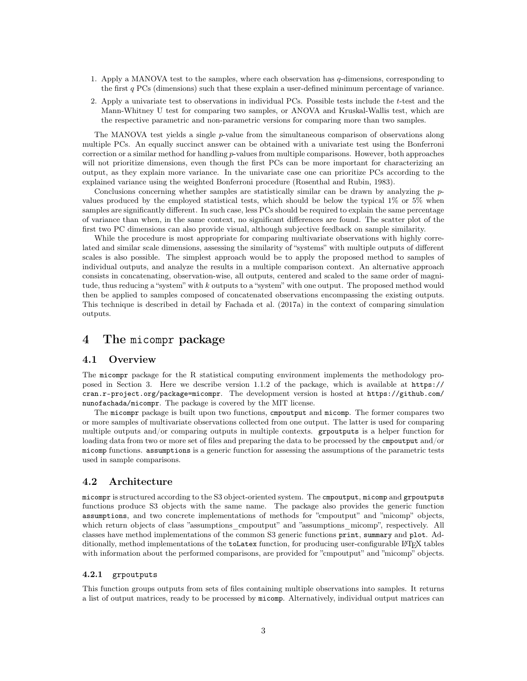- 1. Apply a MANOVA test to the samples, where each observation has q-dimensions, corresponding to the first q PCs (dimensions) such that these explain a user-defined minimum percentage of variance.
- 2. Apply a univariate test to observations in individual PCs. Possible tests include the t-test and the Mann-Whitney U test for comparing two samples, or ANOVA and Kruskal-Wallis test, which are the respective parametric and non-parametric versions for comparing more than two samples.

The MANOVA test yields a single p-value from the simultaneous comparison of observations along multiple PCs. An equally succinct answer can be obtained with a univariate test using the Bonferroni correction or a similar method for handling  $p$ -values from multiple comparisons. However, both approaches will not prioritize dimensions, even though the first PCs can be more important for characterizing an output, as they explain more variance. In the univariate case one can prioritize PCs according to the explained variance using the weighted Bonferroni procedure (Rosenthal and Rubin, 1983).

Conclusions concerning whether samples are statistically similar can be drawn by analyzing the pvalues produced by the employed statistical tests, which should be below the typical 1% or 5% when samples are significantly different. In such case, less PCs should be required to explain the same percentage of variance than when, in the same context, no significant differences are found. The scatter plot of the first two PC dimensions can also provide visual, although subjective feedback on sample similarity.

While the procedure is most appropriate for comparing multivariate observations with highly correlated and similar scale dimensions, assessing the similarity of "systems" with multiple outputs of different scales is also possible. The simplest approach would be to apply the proposed method to samples of individual outputs, and analyze the results in a multiple comparison context. An alternative approach consists in concatenating, observation-wise, all outputs, centered and scaled to the same order of magnitude, thus reducing a "system" with k outputs to a "system" with one output. The proposed method would then be applied to samples composed of concatenated observations encompassing the existing outputs. This technique is described in detail by Fachada et al. (2017a) in the context of comparing simulation outputs.

# 4 The micompr package

#### 4.1 Overview

The micompr package for the R statistical computing environment implements the methodology proposed in Section 3. Here we describe version 1.1.2 of the package, which is available at https:// cran.r-project.org/package=micompr. The development version is hosted at https://github.com/ nunofachada/micompr. The package is covered by the MIT license.

The micompr package is built upon two functions, cmpoutput and micomp. The former compares two or more samples of multivariate observations collected from one output. The latter is used for comparing multiple outputs and/or comparing outputs in multiple contexts. grpoutputs is a helper function for loading data from two or more set of files and preparing the data to be processed by the cmpoutput and/or micomp functions. assumptions is a generic function for assessing the assumptions of the parametric tests used in sample comparisons.

#### 4.2 Architecture

micompr is structured according to the S3 object-oriented system. The cmpoutput, micomp and grpoutputs functions produce S3 objects with the same name. The package also provides the generic function assumptions, and two concrete implementations of methods for "cmpoutput" and "micomp" objects, which return objects of class "assumptions cmpoutput" and "assumptions micomp", respectively. All classes have method implementations of the common S3 generic functions print, summary and plot. Additionally, method implementations of the toLatex function, for producing user-configurable L<sup>AT</sup>EX tables with information about the performed comparisons, are provided for "cmpoutput" and "micomp" objects.

#### 4.2.1 grpoutputs

This function groups outputs from sets of files containing multiple observations into samples. It returns a list of output matrices, ready to be processed by micomp. Alternatively, individual output matrices can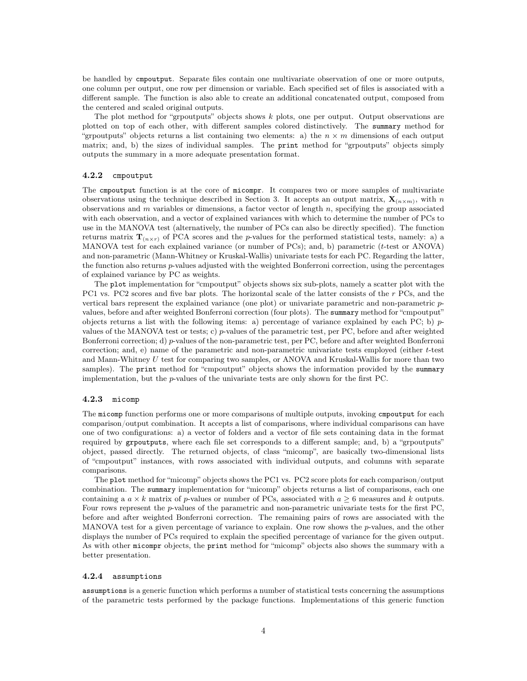be handled by cmpoutput. Separate files contain one multivariate observation of one or more outputs, one column per output, one row per dimension or variable. Each specified set of files is associated with a different sample. The function is also able to create an additional concatenated output, composed from the centered and scaled original outputs.

The plot method for "grpoutputs" objects shows  $k$  plots, one per output. Output observations are plotted on top of each other, with different samples colored distinctively. The summary method for "grpoutputs" objects returns a list containing two elements: a) the  $n \times m$  dimensions of each output matrix; and, b) the sizes of individual samples. The print method for "grpoutputs" objects simply outputs the summary in a more adequate presentation format.

#### 4.2.2 cmpoutput

The cmpoutput function is at the core of micompr. It compares two or more samples of multivariate observations using the technique described in Section 3. It accepts an output matrix,  $\mathbf{X}_{(n\times m)}$ , with n observations and  $m$  variables or dimensions, a factor vector of length  $n$ , specifying the group associated with each observation, and a vector of explained variances with which to determine the number of PCs to use in the MANOVA test (alternatively, the number of PCs can also be directly specified). The function returns matrix  $\mathbf{T}_{(n \times r)}$  of PCA scores and the p-values for the performed statistical tests, namely: a) a MANOVA test for each explained variance (or number of PCs); and, b) parametric (t-test or ANOVA) and non-parametric (Mann-Whitney or Kruskal-Wallis) univariate tests for each PC. Regarding the latter, the function also returns  $p$ -values adjusted with the weighted Bonferroni correction, using the percentages of explained variance by PC as weights.

The plot implementation for "cmpoutput" objects shows six sub-plots, namely a scatter plot with the PC1 vs. PC2 scores and five bar plots. The horizontal scale of the latter consists of the  $r$  PCs, and the vertical bars represent the explained variance (one plot) or univariate parametric and non-parametric pvalues, before and after weighted Bonferroni correction (four plots). The summary method for "cmpoutput" objects returns a list with the following items: a) percentage of variance explained by each PC; b)  $p$ values of the MANOVA test or tests; c) p-values of the parametric test, per PC, before and after weighted Bonferroni correction; d) p-values of the non-parametric test, per PC, before and after weighted Bonferroni correction; and, e) name of the parametric and non-parametric univariate tests employed (either t-test and Mann-Whitney  $U$  test for comparing two samples, or ANOVA and Kruskal-Wallis for more than two samples). The print method for "cmpoutput" objects shows the information provided by the summary implementation, but the p-values of the univariate tests are only shown for the first PC.

#### 4.2.3 micomp

The micomp function performs one or more comparisons of multiple outputs, invoking cmpoutput for each comparison/output combination. It accepts a list of comparisons, where individual comparisons can have one of two configurations: a) a vector of folders and a vector of file sets containing data in the format required by grpoutputs, where each file set corresponds to a different sample; and, b) a "grpoutputs" object, passed directly. The returned objects, of class "micomp", are basically two-dimensional lists of "cmpoutput" instances, with rows associated with individual outputs, and columns with separate comparisons.

The plot method for "micomp" objects shows the PC1 vs. PC2 score plots for each comparison/output combination. The summary implementation for "micomp" objects returns a list of comparisons, each one containing a  $a \times k$  matrix of p-values or number of PCs, associated with  $a \geq 6$  measures and k outputs. Four rows represent the p-values of the parametric and non-parametric univariate tests for the first PC, before and after weighted Bonferroni correction. The remaining pairs of rows are associated with the MANOVA test for a given percentage of variance to explain. One row shows the p-values, and the other displays the number of PCs required to explain the specified percentage of variance for the given output. As with other micompr objects, the print method for "micomp" objects also shows the summary with a better presentation.

#### 4.2.4 assumptions

assumptions is a generic function which performs a number of statistical tests concerning the assumptions of the parametric tests performed by the package functions. Implementations of this generic function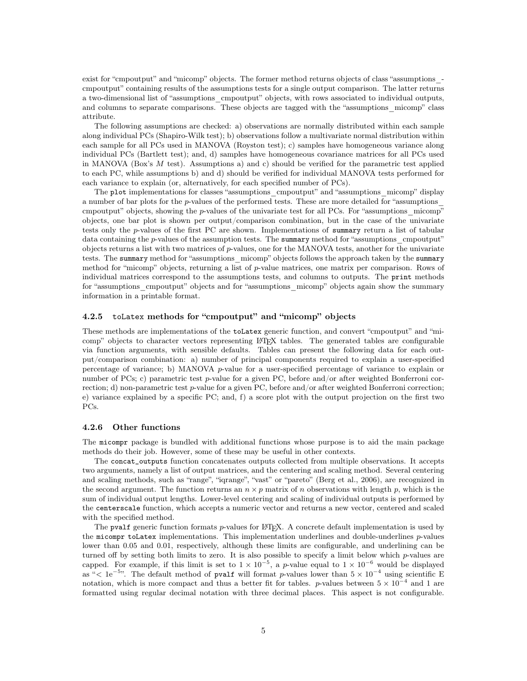exist for "cmpoutput" and "micomp" objects. The former method returns objects of class "assumptions\_ cmpoutput" containing results of the assumptions tests for a single output comparison. The latter returns a two-dimensional list of "assumptions\_cmpoutput" objects, with rows associated to individual outputs, and columns to separate comparisons. These objects are tagged with the "assumptions\_micomp" class attribute.

The following assumptions are checked: a) observations are normally distributed within each sample along individual PCs (Shapiro-Wilk test); b) observations follow a multivariate normal distribution within each sample for all PCs used in MANOVA (Royston test); c) samples have homogeneous variance along individual PCs (Bartlett test); and, d) samples have homogeneous covariance matrices for all PCs used in MANOVA (Box's M test). Assumptions a) and c) should be verified for the parametric test applied to each PC, while assumptions b) and d) should be verified for individual MANOVA tests performed for each variance to explain (or, alternatively, for each specified number of PCs).

The plot implementations for classes "assumptions cmpoutput" and "assumptions micomp" display a number of bar plots for the p-values of the performed tests. These are more detailed for "assumptions\_ cmpoutput" objects, showing the p-values of the univariate test for all PCs. For "assumptions micomp" objects, one bar plot is shown per output/comparison combination, but in the case of the univariate tests only the p-values of the first PC are shown. Implementations of summary return a list of tabular data containing the  $p$ -values of the assumption tests. The summary method for "assumptions cmpoutput" objects returns a list with two matrices of p-values, one for the MANOVA tests, another for the univariate tests. The summary method for "assumptions micomp" objects follows the approach taken by the summary method for "micomp" objects, returning a list of p-value matrices, one matrix per comparison. Rows of individual matrices correspond to the assumptions tests, and columns to outputs. The print methods for "assumptions cmpoutput" objects and for "assumptions micomp" objects again show the summary information in a printable format.

#### 4.2.5 toLatex methods for "cmpoutput" and "micomp" objects

These methods are implementations of the toLatex generic function, and convert "cmpoutput" and "micomp" objects to character vectors representing LATEX tables. The generated tables are configurable via function arguments, with sensible defaults. Tables can present the following data for each output/comparison combination: a) number of principal components required to explain a user-specified percentage of variance; b) MANOVA p-value for a user-specified percentage of variance to explain or number of PCs; c) parametric test p-value for a given PC, before and/or after weighted Bonferroni correction; d) non-parametric test  $p$ -value for a given PC, before and/or after weighted Bonferroni correction; e) variance explained by a specific PC; and, f) a score plot with the output projection on the first two PCs.

#### 4.2.6 Other functions

The micompr package is bundled with additional functions whose purpose is to aid the main package methods do their job. However, some of these may be useful in other contexts.

The concat\_outputs function concatenates outputs collected from multiple observations. It accepts two arguments, namely a list of output matrices, and the centering and scaling method. Several centering and scaling methods, such as "range", "iqrange", "vast" or "pareto" (Berg et al., 2006), are recognized in the second argument. The function returns an  $n \times p$  matrix of n observations with length p, which is the sum of individual output lengths. Lower-level centering and scaling of individual outputs is performed by the centerscale function, which accepts a numeric vector and returns a new vector, centered and scaled with the specified method.

The pvalf generic function formats p-values for LATEX. A concrete default implementation is used by the micompr toLatex implementations. This implementation underlines and double-underlines p-values lower than 0.05 and 0.01, respectively, although these limits are configurable, and underlining can be turned off by setting both limits to zero. It is also possible to specify a limit below which  $p$ -values are capped. For example, if this limit is set to  $1 \times 10^{-5}$ , a p-value equal to  $1 \times 10^{-6}$  would be displayed as "< 1e<sup>-5</sup>". The default method of pvalf will format p-values lower than  $5 \times 10^{-4}$  using scientific E notation, which is more compact and thus a better fit for tables. p-values between  $5 \times 10^{-4}$  and 1 are formatted using regular decimal notation with three decimal places. This aspect is not configurable.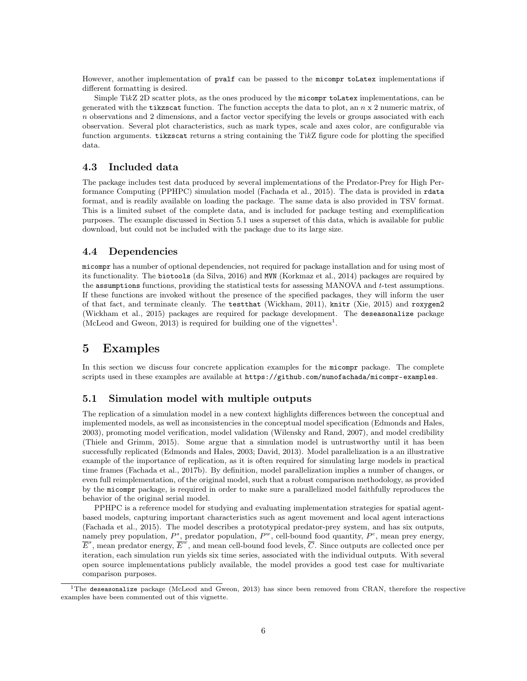However, another implementation of pvalf can be passed to the micompr toLatex implementations if different formatting is desired.

Simple TikZ 2D scatter plots, as the ones produced by the micompr to Latex implementations, can be generated with the tikzscat function. The function accepts the data to plot, an  $n \times 2$  numeric matrix, of  $n$  observations and 2 dimensions, and a factor vector specifying the levels or groups associated with each observation. Several plot characteristics, such as mark types, scale and axes color, are configurable via function arguments. tikzscat returns a string containing the TikZ figure code for plotting the specified data.

#### 4.3 Included data

The package includes test data produced by several implementations of the Predator-Prey for High Performance Computing (PPHPC) simulation model (Fachada et al., 2015). The data is provided in rdata format, and is readily available on loading the package. The same data is also provided in TSV format. This is a limited subset of the complete data, and is included for package testing and exemplification purposes. The example discussed in Section 5.1 uses a superset of this data, which is available for public download, but could not be included with the package due to its large size.

#### 4.4 Dependencies

micompr has a number of optional dependencies, not required for package installation and for using most of its functionality. The biotools (da Silva, 2016) and MVN (Korkmaz et al., 2014) packages are required by the assumptions functions, providing the statistical tests for assessing MANOVA and t-test assumptions. If these functions are invoked without the presence of the specified packages, they will inform the user of that fact, and terminate cleanly. The testthat (Wickham, 2011), knitr (Xie, 2015) and roxygen2 (Wickham et al., 2015) packages are required for package development. The deseasonalize package (McLeod and Gweon, 2013) is required for building one of the vignettes<sup>1</sup>.

### 5 Examples

In this section we discuss four concrete application examples for the micompr package. The complete scripts used in these examples are available at https://github.com/nunofachada/micompr-examples.

#### 5.1 Simulation model with multiple outputs

The replication of a simulation model in a new context highlights differences between the conceptual and implemented models, as well as inconsistencies in the conceptual model specification (Edmonds and Hales, 2003), promoting model verification, model validation (Wilensky and Rand, 2007), and model credibility (Thiele and Grimm, 2015). Some argue that a simulation model is untrustworthy until it has been successfully replicated (Edmonds and Hales, 2003; David, 2013). Model parallelization is a an illustrative example of the importance of replication, as it is often required for simulating large models in practical time frames (Fachada et al., 2017b). By definition, model parallelization implies a number of changes, or even full reimplementation, of the original model, such that a robust comparison methodology, as provided by the micompr package, is required in order to make sure a parallelized model faithfully reproduces the behavior of the original serial model.

PPHPC is a reference model for studying and evaluating implementation strategies for spatial agentbased models, capturing important characteristics such as agent movement and local agent interactions (Fachada et al., 2015). The model describes a prototypical predator-prey system, and has six outputs, namely prey population,  $P^s$ , predator population,  $P^w$ , cell-bound food quantity,  $P^c$ , mean prey energy,  $E^s$ , mean predator energy,  $E^w$ , and mean cell-bound food levels, C. Since outputs are collected once per iteration, each simulation run yields six time series, associated with the individual outputs. With several open source implementations publicly available, the model provides a good test case for multivariate comparison purposes.

<sup>&</sup>lt;sup>1</sup>The deseasonalize package (McLeod and Gweon, 2013) has since been removed from CRAN, therefore the respective examples have been commented out of this vignette.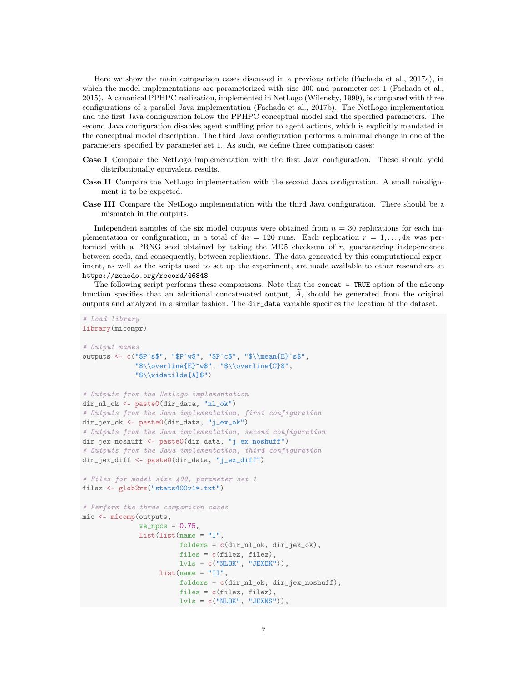Here we show the main comparison cases discussed in a previous article (Fachada et al., 2017a), in which the model implementations are parameterized with size 400 and parameter set 1 (Fachada et al., 2015). A canonical PPHPC realization, implemented in NetLogo (Wilensky, 1999), is compared with three configurations of a parallel Java implementation (Fachada et al., 2017b). The NetLogo implementation and the first Java configuration follow the PPHPC conceptual model and the specified parameters. The second Java configuration disables agent shuffling prior to agent actions, which is explicitly mandated in the conceptual model description. The third Java configuration performs a minimal change in one of the parameters specified by parameter set 1. As such, we define three comparison cases:

- Case I Compare the NetLogo implementation with the first Java configuration. These should yield distributionally equivalent results.
- Case II Compare the NetLogo implementation with the second Java configuration. A small misalignment is to be expected.
- Case III Compare the NetLogo implementation with the third Java configuration. There should be a mismatch in the outputs.

Independent samples of the six model outputs were obtained from  $n = 30$  replications for each implementation or configuration, in a total of  $4n = 120$  runs. Each replication  $r = 1, \ldots, 4n$  was performed with a PRNG seed obtained by taking the MD5 checksum of  $r$ , guaranteeing independence between seeds, and consequently, between replications. The data generated by this computational experiment, as well as the scripts used to set up the experiment, are made available to other researchers at https://zenodo.org/record/46848.

The following script performs these comparisons. Note that the concat = TRUE option of the micomp function specifies that an additional concatenated output,  $A$ , should be generated from the original outputs and analyzed in a similar fashion. The dir\_data variable specifies the location of the dataset.

```
library(micompr)
# Output names
outputs <- c("\$P^s$", "\$P^w$", "\$P^c$", "$\\mean{E}^s$","$\\overline{E}^w$", "$\\overline{C}$",
             "$\\widetilde{A}$")
# Outputs from the NetLogo implementation
dir_nl_ok <- paste0(dir_data, "nl_ok")
# Outputs from the Java implementation, first configuration
dir_jex_ok <- paste0(dir_data, "j_ex_ok")
# Outputs from the Java implementation, second configuration
dir_jex_noshuff <- paste0(dir_data, "j_ex_noshuff")
# Outputs from the Java implementation, third configuration
dir_jex_diff <- paste0(dir_data, "j_ex_diff")
# Files for model size 400, parameter set 1
filez <- glob2rx("stats400v1*.txt")
# Perform the three comparison cases
mic <- micomp(outputs,
              ve_{n} = 0.75,
              list(list(name = "I",folders = c(dir_nl_ok, dir_jex_ok),
                        files = c(filez, filez),
                        lvls = c("NLOK", "JEXOK")),
                   list(name = "II",folders = c(dir_nl_ok, dir_jex_noshuff),
                        files = c(filez, filez),
                        lvls = c("NLOK", "JEXNS")),
```
*# Load library*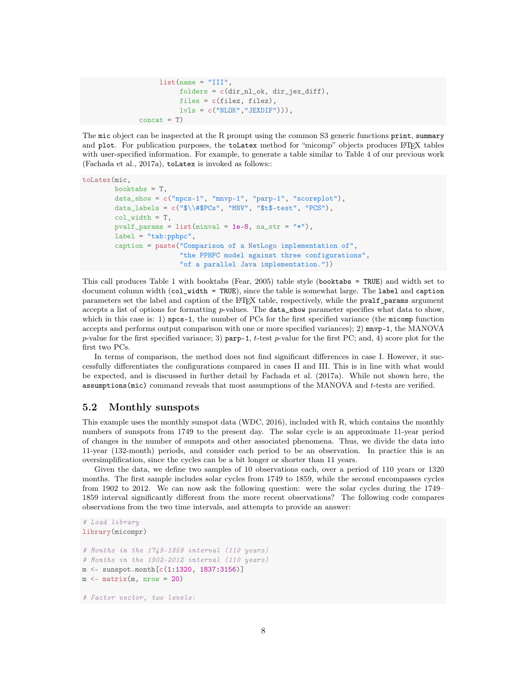```
list(name = "III",folders = c(dir_nl_ok, dir_jex_diff),
          files = c(filez, filez),
         lvls = c("NLOK", "JEXDIF")),
concat = T)
```
The mic object can be inspected at the R prompt using the common S3 generic functions print, summary and plot. For publication purposes, the toLatex method for "micomp" objects produces LTFX tables with user-specified information. For example, to generate a table similar to Table 4 of our previous work (Fachada et al., 2017a), toLatex is invoked as follows::

```
toLatex(mic,
```

```
booktabs = T,
data_show = c("npcs-1", "mnvp-1", "parp-1", "scoreplot"),
data_labels = c("$(\#$PCs", "MNV", "$(\#$-test", "PCS"),
col_width = T,
pvalf_params = list(minval = 1e-8, na_str = "*"),
label = "tab:pphpc",caption = paste("Comparison of a NetLogo implementation of",
                "the PPHPC model against three configurations",
                "of a parallel Java implementation."))
```
This call produces Table 1 with booktabs (Fear, 2005) table style (booktabs = TRUE) and width set to document column width (col\_width = TRUE), since the table is somewhat large. The label and caption parameters set the label and caption of the LAT<sub>E</sub>X table, respectively, while the pvalf\_params argument accepts a list of options for formatting  $p$ -values. The **data\_show** parameter specifies what data to show, which in this case is: 1)  $npcs-1$ , the number of PCs for the first specified variance (the micomp function accepts and performs output comparison with one or more specified variances); 2) mnvp-1, the MANOVA p-value for the first specified variance; 3) parp-1, t-test p-value for the first PC; and, 4) score plot for the first two PCs.

In terms of comparison, the method does not find significant differences in case I. However, it successfully differentiates the configurations compared in cases II and III. This is in line with what would be expected, and is discussed in further detail by Fachada et al. (2017a). While not shown here, the assumptions(mic) command reveals that most assumptions of the MANOVA and t-tests are verified.

#### 5.2 Monthly sunspots

This example uses the monthly sunspot data (WDC, 2016), included with R, which contains the monthly numbers of sunspots from 1749 to the present day. The solar cycle is an approximate 11-year period of changes in the number of sunspots and other associated phenomena. Thus, we divide the data into 11-year (132-month) periods, and consider each period to be an observation. In practice this is an oversimplification, since the cycles can be a bit longer or shorter than 11 years.

Given the data, we define two samples of 10 observations each, over a period of 110 years or 1320 months. The first sample includes solar cycles from 1749 to 1859, while the second encompasses cycles from 1902 to 2012. We can now ask the following question: were the solar cycles during the 1749– 1859 interval significantly different from the more recent observations? The following code compares observations from the two time intervals, and attempts to provide an answer:

```
# Load library
library(micompr)
# Months in the 1749-1859 interval (110 years)
# Months in the 1902-2012 interval (110 years)
m <- sunspot.month[c(1:1320, 1837:3156)]
m \le - matrix(m, nrow = 20)# Factor vector, two levels:
```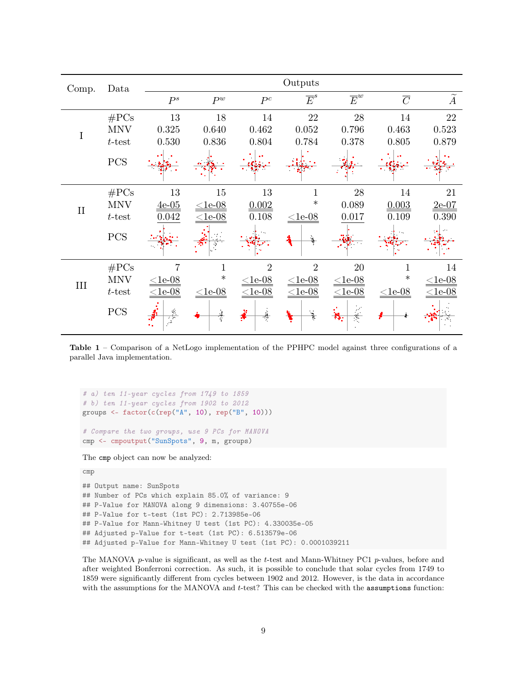| Comp.        | Data       | Outputs              |              |                |                  |                  |                |                |  |
|--------------|------------|----------------------|--------------|----------------|------------------|------------------|----------------|----------------|--|
|              |            | $P^s$                | $P^w$        | $P^c$          | $\overline{E}^s$ | $\overline{E}^w$ | $\overline{C}$ | $\overline{A}$ |  |
|              | $\#PCs$    | 13                   | 18           | 14             | 22               | 28               | 14             | 22             |  |
| I            | <b>MNV</b> | 0.325                | 0.640        | 0.462          | 0.052            | $0.796\,$        | 0.463          | 0.523          |  |
|              | $t$ -test  | 0.530                | 0.836        | 0.804          | 0.784            | 0.378            | 0.805          | 0.879          |  |
|              | PCS        |                      |              |                |                  |                  |                |                |  |
| $\mathbf{I}$ | $\#PCs$    | 13                   | 15           | 13             | 1                | 28               | 14             | 21             |  |
|              | <b>MNV</b> | $4e-05$              | $\leq$ 1e-08 | 0.002          | $\ast$           | 0.089            | 0.003          | $2e-07$        |  |
|              | $t$ -test  | 0.042                | $\leq$ 1e-08 | 0.108          | $<1e-08$         | 0.017            | 0.109          | 0.390          |  |
|              | PCS        |                      |              |                |                  |                  |                |                |  |
|              | $\#PCs$    |                      |              | $\mathfrak{D}$ | $\overline{2}$   | 20               |                | 14             |  |
| III          | <b>MNV</b> | $\leq$ 1e-08         | $\ast$       | $\leq$ 1e-08   | $<$ 1e-08        | $\leq$ 1e-08     | $\ast$         | $\leq$ 1e-08   |  |
|              | $t$ -test  | $\leq$ 1e-08         | $\leq$ 1e-08 | $\leq$ 1e-08   | $\leq$ 1e-08     | $\leq$ 1e-08     | $\leq$ 1e-08   | $\leq$ 1e-08   |  |
|              | PCS        | $\frac{4}{\sqrt{2}}$ |              |                |                  | Ť<br>53.         |                |                |  |

Table 1 – Comparison of a NetLogo implementation of the PPHPC model against three configurations of a parallel Java implementation.

```
# a) ten 11-year cycles from 1749 to 1859
# b) ten 11-year cycles from 1902 to 2012
groups \leq factor(c(rep("A", 10), rep("B", 10)))
# Compare the two groups, use 9 PCs for MANOVA
cmp <- cmpoutput("SunSpots", 9, m, groups)
```
The cmp object can now be analyzed:

```
cmp
```
## Output name: SunSpots ## Number of PCs which explain 85.0% of variance: 9 ## P-Value for MANOVA along 9 dimensions: 3.40755e-06 ## P-Value for t-test (1st PC): 2.713985e-06 ## P-Value for Mann-Whitney U test (1st PC): 4.330035e-05 ## Adjusted p-Value for t-test (1st PC): 6.513579e-06 ## Adjusted p-Value for Mann-Whitney U test (1st PC): 0.0001039211

The MANOVA  $p$ -value is significant, as well as the t-test and Mann-Whitney PC1  $p$ -values, before and after weighted Bonferroni correction. As such, it is possible to conclude that solar cycles from 1749 to 1859 were significantly different from cycles between 1902 and 2012. However, is the data in accordance with the assumptions for the MANOVA and t-test? This can be checked with the assumptions function: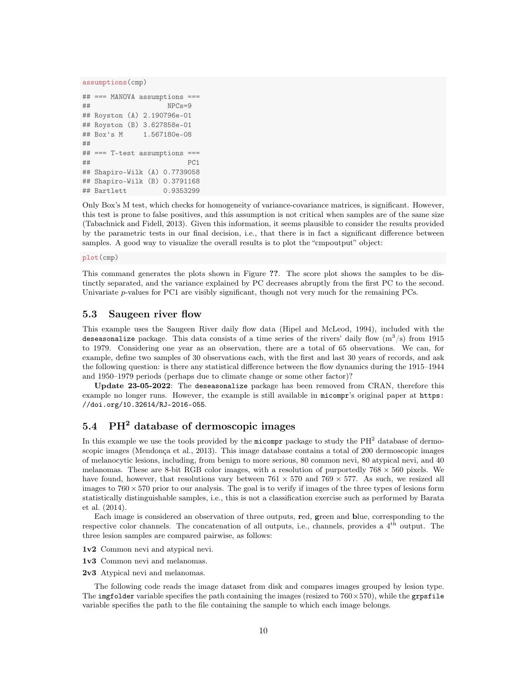```
assumptions(cmp)
```

```
## === MANOVA assumptions ===
## NPCs=9
## Royston (A) 2.190796e-01
## Royston (B) 3.627858e-01
## Box's M 1.567180e-08
##
## === T-test assumptions ===
\##
## Shapiro-Wilk (A) 0.7739058
## Shapiro-Wilk (B) 0.3791168
## Bartlett 0.9353299
```
Only Box's M test, which checks for homogeneity of variance-covariance matrices, is significant. However, this test is prone to false positives, and this assumption is not critical when samples are of the same size (Tabachnick and Fidell, 2013). Given this information, it seems plausible to consider the results provided by the parametric tests in our final decision, i.e., that there is in fact a significant difference between samples. A good way to visualize the overall results is to plot the "cmpoutput" object:

plot(cmp)

This command generates the plots shown in Figure ??. The score plot shows the samples to be distinctly separated, and the variance explained by PC decreases abruptly from the first PC to the second. Univariate p-values for PC1 are visibly significant, though not very much for the remaining PCs.

#### 5.3 Saugeen river flow

This example uses the Saugeen River daily flow data (Hipel and McLeod, 1994), included with the deseasonalize package. This data consists of a time series of the rivers' daily flow  $(m^3/s)$  from 1915 to 1979. Considering one year as an observation, there are a total of 65 observations. We can, for example, define two samples of 30 observations each, with the first and last 30 years of records, and ask the following question: is there any statistical difference between the flow dynamics during the 1915–1944 and 1950–1979 periods (perhaps due to climate change or some other factor)?

Update 23-05-2022: The deseasonalize package has been removed from CRAN, therefore this example no longer runs. However, the example is still available in micompr's original paper at https: //doi.org/10.32614/RJ-2016-055.

### 5.4 PH<sup>2</sup> database of dermoscopic images

In this example we use the tools provided by the micompr package to study the  $PH<sup>2</sup>$  database of dermoscopic images (Mendonça et al., 2013). This image database contains a total of 200 dermoscopic images of melanocytic lesions, including, from benign to more serious, 80 common nevi, 80 atypical nevi, and 40 melanomas. These are 8-bit RGB color images, with a resolution of purportedly  $768 \times 560$  pixels. We have found, however, that resolutions vary between  $761 \times 570$  and  $769 \times 577$ . As such, we resized all images to  $760 \times 570$  prior to our analysis. The goal is to verify if images of the three types of lesions form statistically distinguishable samples, i.e., this is not a classification exercise such as performed by Barata et al. (2014).

Each image is considered an observation of three outputs, red, green and blue, corresponding to the respective color channels. The concatenation of all outputs, i.e., channels, provides a 4<sup>th</sup> output. The three lesion samples are compared pairwise, as follows:

1v2 Common nevi and atypical nevi.

- 1v3 Common nevi and melanomas.
- 2v3 Atypical nevi and melanomas.

The following code reads the image dataset from disk and compares images grouped by lesion type. The imgfolder variable specifies the path containing the images (resized to  $760 \times 570$ ), while the grpsfile variable specifies the path to the file containing the sample to which each image belongs.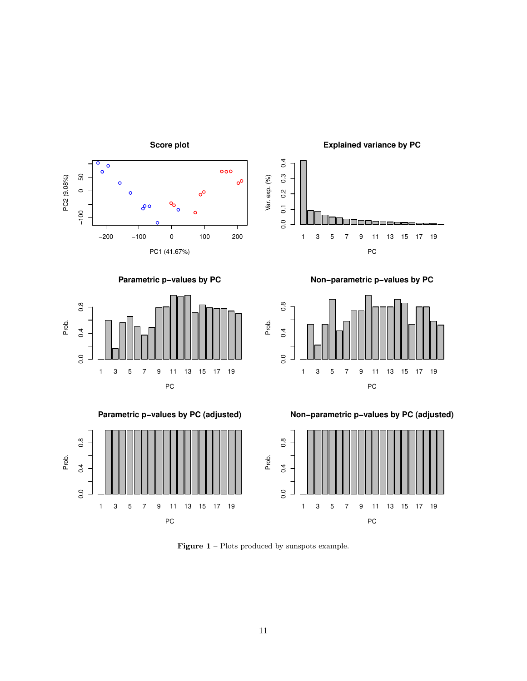

Figure 1 – Plots produced by sunspots example.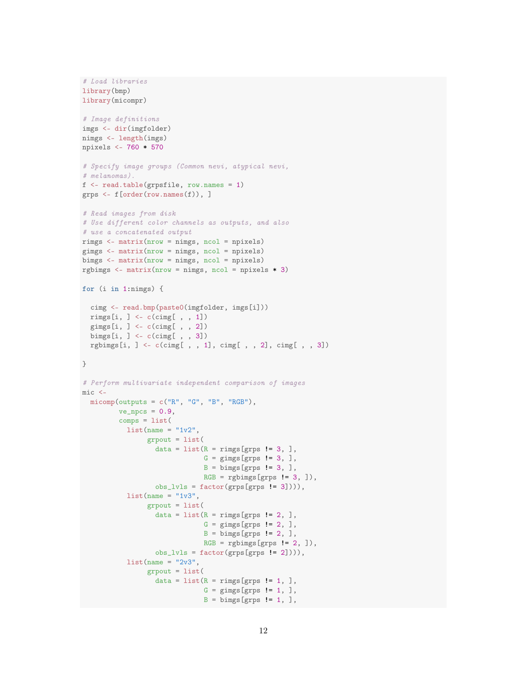```
# Load libraries
library(bmp)
library(micompr)
# Image definitions
imgs <- dir(imgfolder)
nimgs <- length(imgs)
npixels <- 760 * 570
# Specify image groups (Common nevi, atypical nevi,
# melanomas).
f <- read.table(grpsfile, row.names = 1)
grps <- f[order(row.names(f)), ]
# Read images from disk
# Use different color channels as outputs, and also
# use a concatenated output
rimgs <- matrix(nrow = nimgs, ncol = npixels)
gimgs <- matrix(nrow = nimgs, ncol = npixels)
bimgs <- matrix(nrow = nimgs, ncol = npixels)
rgbimgs \leq matrix(nrow = nimgs, ncol = npixels * 3)
for (i in 1:nimgs) {
 cimg <- read.bmp(paste0(imgfolder, imgs[i]))
 rimgs[i, ] <- c(cimg[ , , 1])
  gimgs[i, ] <- c(cimg[, , 2])
  bimgs[i, ] <- c(cimg[ , , 3])
 rgbimgs[i, ] <- c(cimg[ , , 1], cimg[ , , 2], cimg[ , , 3])
}
# Perform multivariate independent comparison of images
mic <-
 micomp(outputs = c("R", "G", "B", "RGB"),ve_{n}pcs = 0.9,
         comps = list(list(name = "1v2",grpout = list(
                  data = list(R = rings[grps != 3, ],G = gimgs[grps != 3, ],
                              B = \text{bins} [grps != 3, ],
                              RGB = rgbimgs[grps != 3, ]),
                  obs_lvls = factor(grps[grps != 3]))),
           list(name = "1v3",grpout = list(
                  data = list(R = rings[grps != 2, ],G = \text{gings} [grps != 2, ],
                              B = \text{bins} [grps != 2, ],
                              RGB = rgbings [grps != 2, ]),obs\_luls = factor(grps[grps != 2])),
           list(name = "2v3",grpout = list(
                  data = list(R = rings[grps != 1, ],G = gimgs[grps != 1, ],
                               B = \text{bins} [grps != 1, ],
```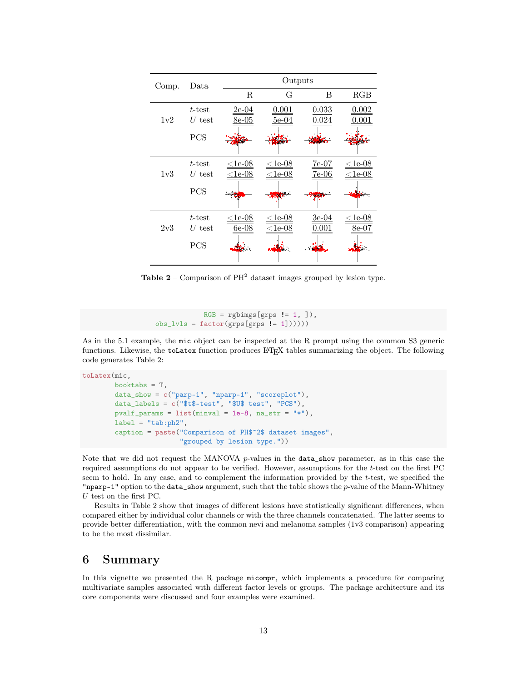| Comp. | Data                  | Outputs                   |                              |                    |                        |  |  |  |
|-------|-----------------------|---------------------------|------------------------------|--------------------|------------------------|--|--|--|
|       |                       | R                         | G                            | B                  | RGB                    |  |  |  |
| 1v2   | t-test<br>$U$ test    | $2e-04$<br>8e-05          | 0.001<br>$5e-04$             | 0.033<br>0.024     | 0.002<br>0.001         |  |  |  |
|       | <b>PCS</b>            |                           |                              |                    |                        |  |  |  |
| 1v3   | $t$ -test<br>$U$ test | $<$ 1e-08<br>$\leq$ 1e-08 | $<$ 1e-08<br>$<$ 1e-08       | $7e-07$<br>$7e-06$ | $<$ 1e-08<br>$<$ 1e-08 |  |  |  |
|       | <b>PCS</b>            |                           | سالة                         |                    |                        |  |  |  |
| 2v3   | $t$ -test<br>$U$ test | $<$ 1e-08<br>$6e-08$      | $\leq$ 1e-08<br>$\leq$ 1e-08 | $3e-04$<br>0.001   | $<$ 1e-08<br>$8e-07$   |  |  |  |
|       | PCS                   |                           | <b>Description</b>           |                    |                        |  |  |  |

**Table 2** – Comparison of  $PH^2$  dataset images grouped by lesion type.

```
RGB = rgbings [grps != 1, ]),obs_luls = factor(grps[grps != 1]))))
```
As in the 5.1 example, the mic object can be inspected at the R prompt using the common S3 generic functions. Likewise, the toLatex function produces L<sup>AT</sup>EX tables summarizing the object. The following code generates Table 2:

```
toLatex(mic,
       booktabs = T,
       data_show = c("parp-1", "nparp-1", "scoreplot"),
       data_labels = c("$t$-test", "$U$ test", "PCS"),
       pvalf_params = list(minval = 1e-8, na_str = "*"),
       label = "tab:ph2",caption = paste("Comparison of PH$^2$ dataset images",
                        "grouped by lesion type."))
```
Note that we did not request the MANOVA p-values in the data\_show parameter, as in this case the required assumptions do not appear to be verified. However, assumptions for the t-test on the first PC seem to hold. In any case, and to complement the information provided by the t-test, we specified the "nparp-1" option to the data\_show argument, such that the table shows the p-value of the Mann-Whitney  $U$  test on the first PC.

Results in Table 2 show that images of different lesions have statistically significant differences, when compared either by individual color channels or with the three channels concatenated. The latter seems to provide better differentiation, with the common nevi and melanoma samples (1v3 comparison) appearing to be the most dissimilar.

# 6 Summary

In this vignette we presented the R package micompr, which implements a procedure for comparing multivariate samples associated with different factor levels or groups. The package architecture and its core components were discussed and four examples were examined.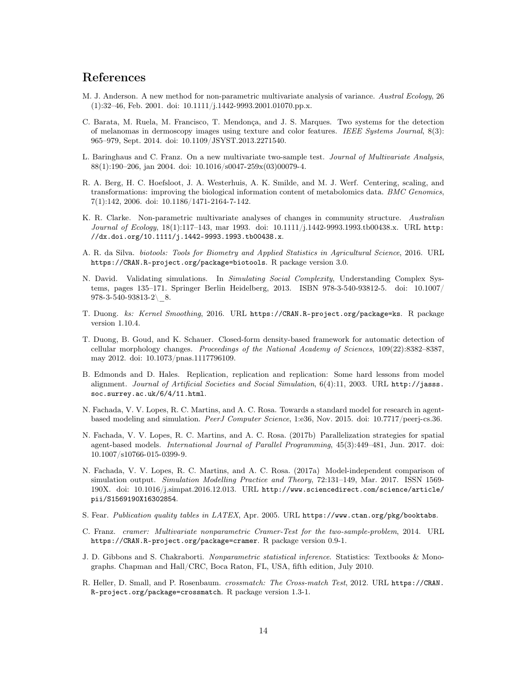# References

- M. J. Anderson. A new method for non-parametric multivariate analysis of variance. Austral Ecology, 26  $(1):32-46$ , Feb. 2001. doi: 10.1111/j.1442-9993.2001.01070.pp.x.
- C. Barata, M. Ruela, M. Francisco, T. Mendonça, and J. S. Marques. Two systems for the detection of melanomas in dermoscopy images using texture and color features. IEEE Systems Journal, 8(3): 965–979, Sept. 2014. doi: 10.1109/JSYST.2013.2271540.
- L. Baringhaus and C. Franz. On a new multivariate two-sample test. Journal of Multivariate Analysis, 88(1):190–206, jan 2004. doi: 10.1016/s0047-259x(03)00079-4.
- R. A. Berg, H. C. Hoefsloot, J. A. Westerhuis, A. K. Smilde, and M. J. Werf. Centering, scaling, and transformations: improving the biological information content of metabolomics data. BMC Genomics, 7(1):142, 2006. doi: 10.1186/1471-2164-7-142.
- K. R. Clarke. Non-parametric multivariate analyses of changes in community structure. Australian Journal of Ecology, 18(1):117-143, mar 1993. doi: 10.1111/j.1442-9993.1993.tb00438.x. URL http: //dx.doi.org/10.1111/j.1442-9993.1993.tb00438.x.
- A. R. da Silva. biotools: Tools for Biometry and Applied Statistics in Agricultural Science, 2016. URL https://CRAN.R-project.org/package=biotools. R package version 3.0.
- N. David. Validating simulations. In Simulating Social Complexity, Understanding Complex Systems, pages 135–171. Springer Berlin Heidelberg, 2013. ISBN 978-3-540-93812-5. doi: 10.1007/  $978-3-540-93813-2$  8.
- T. Duong. ks: Kernel Smoothing, 2016. URL https://CRAN.R-project.org/package=ks. R package version 1.10.4.
- T. Duong, B. Goud, and K. Schauer. Closed-form density-based framework for automatic detection of cellular morphology changes. Proceedings of the National Academy of Sciences, 109(22):8382–8387, may 2012. doi: 10.1073/pnas.1117796109.
- B. Edmonds and D. Hales. Replication, replication and replication: Some hard lessons from model alignment. Journal of Artificial Societies and Social Simulation, 6(4):11, 2003. URL http://jasss. soc.surrey.ac.uk/6/4/11.html.
- N. Fachada, V. V. Lopes, R. C. Martins, and A. C. Rosa. Towards a standard model for research in agentbased modeling and simulation. PeerJ Computer Science, 1:e36, Nov. 2015. doi: 10.7717/peerj-cs.36.
- N. Fachada, V. V. Lopes, R. C. Martins, and A. C. Rosa. (2017b) Parallelization strategies for spatial agent-based models. International Journal of Parallel Programming, 45(3):449–481, Jun. 2017. doi: 10.1007/s10766-015-0399-9.
- N. Fachada, V. V. Lopes, R. C. Martins, and A. C. Rosa. (2017a) Model-independent comparison of simulation output. Simulation Modelling Practice and Theory, 72:131–149, Mar. 2017. ISSN 1569- 190X. doi: 10.1016/j.simpat.2016.12.013. URL http://www.sciencedirect.com/science/article/ pii/S1569190X16302854.
- S. Fear. Publication quality tables in LATEX, Apr. 2005. URL https://www.ctan.org/pkg/booktabs.
- C. Franz. cramer: Multivariate nonparametric Cramer-Test for the two-sample-problem, 2014. URL https://CRAN.R-project.org/package=cramer. R package version 0.9-1.
- J. D. Gibbons and S. Chakraborti. Nonparametric statistical inference. Statistics: Textbooks & Monographs. Chapman and Hall/CRC, Boca Raton, FL, USA, fifth edition, July 2010.
- R. Heller, D. Small, and P. Rosenbaum. *crossmatch: The Cross-match Test*, 2012. URL https://CRAN. R-project.org/package=crossmatch. R package version 1.3-1.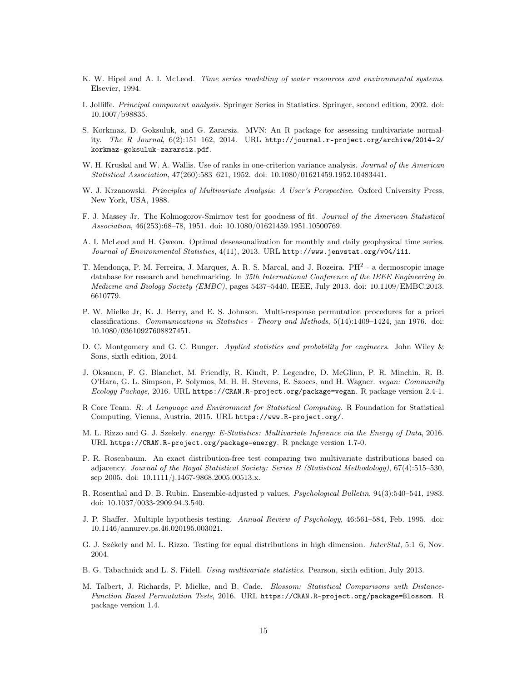- K. W. Hipel and A. I. McLeod. Time series modelling of water resources and environmental systems. Elsevier, 1994.
- I. Jolliffe. Principal component analysis. Springer Series in Statistics. Springer, second edition, 2002. doi: 10.1007/b98835.
- S. Korkmaz, D. Goksuluk, and G. Zararsiz. MVN: An R package for assessing multivariate normality. The R Journal, 6(2):151–162, 2014. URL http://journal.r-project.org/archive/2014-2/ korkmaz-goksuluk-zararsiz.pdf.
- W. H. Kruskal and W. A. Wallis. Use of ranks in one-criterion variance analysis. Journal of the American Statistical Association, 47(260):583–621, 1952. doi: 10.1080/01621459.1952.10483441.
- W. J. Krzanowski. Principles of Multivariate Analysis: A User's Perspective. Oxford University Press, New York, USA, 1988.
- F. J. Massey Jr. The Kolmogorov-Smirnov test for goodness of fit. Journal of the American Statistical Association, 46(253):68–78, 1951. doi: 10.1080/01621459.1951.10500769.
- A. I. McLeod and H. Gweon. Optimal deseasonalization for monthly and daily geophysical time series. Journal of Environmental Statistics, 4(11), 2013. URL http://www.jenvstat.org/v04/i11.
- T. Mendonça, P. M. Ferreira, J. Marques, A. R. S. Marcal, and J. Rozeira. PH<sup>2</sup> a dermoscopic image database for research and benchmarking. In 35th International Conference of the IEEE Engineering in Medicine and Biology Society (EMBC), pages 5437–5440. IEEE, July 2013. doi: 10.1109/EMBC.2013. 6610779.
- P. W. Mielke Jr, K. J. Berry, and E. S. Johnson. Multi-response permutation procedures for a priori classifications. Communications in Statistics - Theory and Methods, 5(14):1409–1424, jan 1976. doi: 10.1080/03610927608827451.
- D. C. Montgomery and G. C. Runger. *Applied statistics and probability for engineers*. John Wiley & Sons, sixth edition, 2014.
- J. Oksanen, F. G. Blanchet, M. Friendly, R. Kindt, P. Legendre, D. McGlinn, P. R. Minchin, R. B. O'Hara, G. L. Simpson, P. Solymos, M. H. H. Stevens, E. Szoecs, and H. Wagner. vegan: Community Ecology Package, 2016. URL https://CRAN.R-project.org/package=vegan. R package version 2.4-1.
- R Core Team. R: A Language and Environment for Statistical Computing. R Foundation for Statistical Computing, Vienna, Austria, 2015. URL https://www.R-project.org/.
- M. L. Rizzo and G. J. Szekely. energy: E-Statistics: Multivariate Inference via the Energy of Data, 2016. URL https://CRAN.R-project.org/package=energy. R package version 1.7-0.
- P. R. Rosenbaum. An exact distribution-free test comparing two multivariate distributions based on adjacency. Journal of the Royal Statistical Society: Series B (Statistical Methodology), 67(4):515–530, sep 2005. doi: 10.1111/j.1467-9868.2005.00513.x.
- R. Rosenthal and D. B. Rubin. Ensemble-adjusted p values. Psychological Bulletin, 94(3):540–541, 1983. doi: 10.1037/0033-2909.94.3.540.
- J. P. Shaffer. Multiple hypothesis testing. Annual Review of Psychology, 46:561–584, Feb. 1995. doi: 10.1146/annurev.ps.46.020195.003021.
- G. J. Székely and M. L. Rizzo. Testing for equal distributions in high dimension. *InterStat*, 5:1–6, Nov. 2004.
- B. G. Tabachnick and L. S. Fidell. Using multivariate statistics. Pearson, sixth edition, July 2013.
- M. Talbert, J. Richards, P. Mielke, and B. Cade. Blossom: Statistical Comparisons with Distance-Function Based Permutation Tests, 2016. URL https://CRAN.R-project.org/package=Blossom. R package version 1.4.